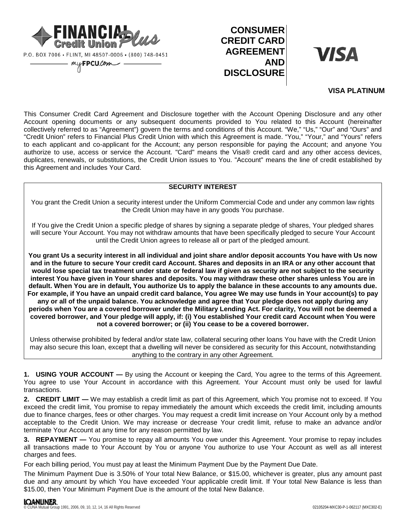

P.O. BOX 7006 · FLINT, MI 48507-0006 · (800) 748-0451

myFPCU.Com

# **CONSUMER CREDIT CARD AGREEMENT AND DISCLOSURE**

**VISA** 

## **VISA PLATINUM**

This Consumer Credit Card Agreement and Disclosure together with the Account Opening Disclosure and any other Account opening documents or any subsequent documents provided to You related to this Account (hereinafter collectively referred to as "Agreement") govern the terms and conditions of this Account. "We," "Us," "Our" and "Ours" and "Credit Union" refers to Financial Plus Credit Union with which this Agreement is made. "You," "Your," and "Yours" refers to each applicant and co-applicant for the Account; any person responsible for paying the Account; and anyone You authorize to use, access or service the Account. "Card" means the Visa® credit card and any other access devices, duplicates, renewals, or substitutions, the Credit Union issues to You. "Account" means the line of credit established by this Agreement and includes Your Card.

# **SECURITY INTEREST**

You grant the Credit Union a security interest under the Uniform Commercial Code and under any common law rights the Credit Union may have in any goods You purchase.

If You give the Credit Union a specific pledge of shares by signing a separate pledge of shares, Your pledged shares will secure Your Account. You may not withdraw amounts that have been specifically pledged to secure Your Account until the Credit Union agrees to release all or part of the pledged amount.

**You grant Us a security interest in all individual and joint share and/or deposit accounts You have with Us now and in the future to secure Your credit card Account. Shares and deposits in an IRA or any other account that would lose special tax treatment under state or federal law if given as security are not subject to the security interest You have given in Your shares and deposits. You may withdraw these other shares unless You are in default. When You are in default, You authorize Us to apply the balance in these accounts to any amounts due. For example, if You have an unpaid credit card balance, You agree We may use funds in Your account(s) to pay any or all of the unpaid balance. You acknowledge and agree that Your pledge does not apply during any periods when You are a covered borrower under the Military Lending Act. For clarity, You will not be deemed a covered borrower, and Your pledge will apply, if: (i) You established Your credit card Account when You were not a covered borrower; or (ii) You cease to be a covered borrower.**

Unless otherwise prohibited by federal and/or state law, collateral securing other loans You have with the Credit Union may also secure this loan, except that a dwelling will never be considered as security for this Account, notwithstanding anything to the contrary in any other Agreement.

**1. USING YOUR ACCOUNT —** By using the Account or keeping the Card, You agree to the terms of this Agreement. You agree to use Your Account in accordance with this Agreement. Your Account must only be used for lawful transactions.

**2. CREDIT LIMIT —** We may establish a credit limit as part of this Agreement, which You promise not to exceed. If You exceed the credit limit, You promise to repay immediately the amount which exceeds the credit limit, including amounts due to finance charges, fees or other charges. You may request a credit limit increase on Your Account only by a method acceptable to the Credit Union. We may increase or decrease Your credit limit, refuse to make an advance and/or terminate Your Account at any time for any reason permitted by law.

**3. REPAYMENT —** You promise to repay all amounts You owe under this Agreement. Your promise to repay includes all transactions made to Your Account by You or anyone You authorize to use Your Account as well as all interest charges and fees.

For each billing period, You must pay at least the Minimum Payment Due by the Payment Due Date.

The Minimum Payment Due is 3.50% of Your total New Balance, or \$15.00, whichever is greater, plus any amount past due and any amount by which You have exceeded Your applicable credit limit. If Your total New Balance is less than \$15.00, then Your Minimum Payment Due is the amount of the total New Balance.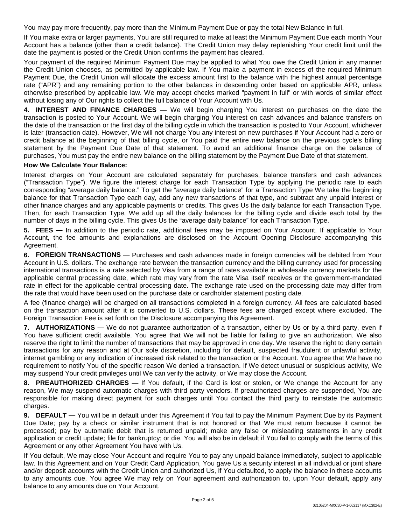You may pay more frequently, pay more than the Minimum Payment Due or pay the total New Balance in full.

If You make extra or larger payments, You are still required to make at least the Minimum Payment Due each month Your Account has a balance (other than a credit balance). The Credit Union may delay replenishing Your credit limit until the date the payment is posted or the Credit Union confirms the payment has cleared.

Your payment of the required Minimum Payment Due may be applied to what You owe the Credit Union in any manner the Credit Union chooses, as permitted by applicable law. If You make a payment in excess of the required Minimum Payment Due, the Credit Union will allocate the excess amount first to the balance with the highest annual percentage rate ("APR") and any remaining portion to the other balances in descending order based on applicable APR, unless otherwise prescribed by applicable law. We may accept checks marked "payment in full" or with words of similar effect without losing any of Our rights to collect the full balance of Your Account with Us.

**4. INTEREST AND FINANCE CHARGES —** We will begin charging You interest on purchases on the date the transaction is posted to Your Account. We will begin charging You interest on cash advances and balance transfers on the date of the transaction or the first day of the billing cycle in which the transaction is posted to Your Account, whichever is later (transaction date). However, We will not charge You any interest on new purchases if Your Account had a zero or credit balance at the beginning of that billing cycle, or You paid the entire new balance on the previous cycle's billing statement by the Payment Due Date of that statement. To avoid an additional finance charge on the balance of purchases, You must pay the entire new balance on the billing statement by the Payment Due Date of that statement.

## **How We Calculate Your Balance:**

Interest charges on Your Account are calculated separately for purchases, balance transfers and cash advances ("Transaction Type"). We figure the interest charge for each Transaction Type by applying the periodic rate to each corresponding "average daily balance." To get the "average daily balance" for a Transaction Type We take the beginning balance for that Transaction Type each day, add any new transactions of that type, and subtract any unpaid interest or other finance charges and any applicable payments or credits. This gives Us the daily balance for each Transaction Type. Then, for each Transaction Type, We add up all the daily balances for the billing cycle and divide each total by the number of days in the billing cycle. This gives Us the "average daily balance" for each Transaction Type.

**5. FEES —** In addition to the periodic rate, additional fees may be imposed on Your Account. If applicable to Your Account, the fee amounts and explanations are disclosed on the Account Opening Disclosure accompanying this Agreement.

**6. FOREIGN TRANSACTIONS —** Purchases and cash advances made in foreign currencies will be debited from Your Account in U.S. dollars. The exchange rate between the transaction currency and the billing currency used for processing international transactions is a rate selected by Visa from a range of rates available in wholesale currency markets for the applicable central processing date, which rate may vary from the rate Visa itself receives or the government-mandated rate in effect for the applicable central processing date. The exchange rate used on the processing date may differ from the rate that would have been used on the purchase date or cardholder statement posting date.

A fee (finance charge) will be charged on all transactions completed in a foreign currency. All fees are calculated based on the transaction amount after it is converted to U.S. dollars. These fees are charged except where excluded. The Foreign Transaction Fee is set forth on the Disclosure accompanying this Agreement.

**7. AUTHORIZATIONS —** We do not guarantee authorization of a transaction, either by Us or by a third party, even if You have sufficient credit available. You agree that We will not be liable for failing to give an authorization. We also reserve the right to limit the number of transactions that may be approved in one day. We reserve the right to deny certain transactions for any reason and at Our sole discretion, including for default, suspected fraudulent or unlawful activity, internet gambling or any indication of increased risk related to the transaction or the Account. You agree that We have no requirement to notify You of the specific reason We denied a transaction. If We detect unusual or suspicious activity, We may suspend Your credit privileges until We can verify the activity, or We may close the Account.

**8. PREAUTHORIZED CHARGES —** If You default, if the Card is lost or stolen, or We change the Account for any reason, We may suspend automatic charges with third party vendors. If preauthorized charges are suspended, You are responsible for making direct payment for such charges until You contact the third party to reinstate the automatic charges.

**9. DEFAULT —** You will be in default under this Agreement if You fail to pay the Minimum Payment Due by its Payment Due Date; pay by a check or similar instrument that is not honored or that We must return because it cannot be processed; pay by automatic debit that is returned unpaid; make any false or misleading statements in any credit application or credit update; file for bankruptcy; or die. You will also be in default if You fail to comply with the terms of this Agreement or any other Agreement You have with Us.

If You default, We may close Your Account and require You to pay any unpaid balance immediately, subject to applicable law. In this Agreement and on Your Credit Card Application, You gave Us a security interest in all individual or joint share and/or deposit accounts with the Credit Union and authorized Us, if You defaulted, to apply the balance in these accounts to any amounts due. You agree We may rely on Your agreement and authorization to, upon Your default, apply any balance to any amounts due on Your Account.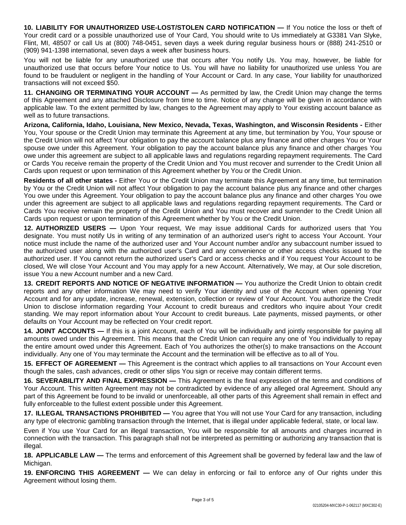**10. LIABILITY FOR UNAUTHORIZED USE-LOST/STOLEN CARD NOTIFICATION —** If You notice the loss or theft of Your credit card or a possible unauthorized use of Your Card, You should write to Us immediately at G3381 Van Slyke, Flint, MI, 48507 or call Us at (800) 748-0451, seven days a week during regular business hours or (888) 241-2510 or (909) 941-1398 international, seven days a week after business hours.

You will not be liable for any unauthorized use that occurs after You notify Us. You may, however, be liable for unauthorized use that occurs before Your notice to Us. You will have no liability for unauthorized use unless You are found to be fraudulent or negligent in the handling of Your Account or Card. In any case, Your liability for unauthorized transactions will not exceed \$50.

**11. CHANGING OR TERMINATING YOUR ACCOUNT —** As permitted by law, the Credit Union may change the terms of this Agreement and any attached Disclosure from time to time. Notice of any change will be given in accordance with applicable law. To the extent permitted by law, changes to the Agreement may apply to Your existing account balance as well as to future transactions.

**Arizona, California, Idaho, Louisiana, New Mexico, Nevada, Texas, Washington, and Wisconsin Residents -** Either You, Your spouse or the Credit Union may terminate this Agreement at any time, but termination by You, Your spouse or the Credit Union will not affect Your obligation to pay the account balance plus any finance and other charges You or Your spouse owe under this Agreement. Your obligation to pay the account balance plus any finance and other charges You owe under this agreement are subject to all applicable laws and regulations regarding repayment requirements. The Card or Cards You receive remain the property of the Credit Union and You must recover and surrender to the Credit Union all Cards upon request or upon termination of this Agreement whether by You or the Credit Union.

**Residents of all other states -** Either You or the Credit Union may terminate this Agreement at any time, but termination by You or the Credit Union will not affect Your obligation to pay the account balance plus any finance and other charges You owe under this Agreement. Your obligation to pay the account balance plus any finance and other charges You owe under this agreement are subject to all applicable laws and regulations regarding repayment requirements. The Card or Cards You receive remain the property of the Credit Union and You must recover and surrender to the Credit Union all Cards upon request or upon termination of this Agreement whether by You or the Credit Union.

**12. AUTHORIZED USERS —** Upon Your request, We may issue additional Cards for authorized users that You designate. You must notify Us in writing of any termination of an authorized user's right to access Your Account. Your notice must include the name of the authorized user and Your Account number and/or any subaccount number issued to the authorized user along with the authorized user's Card and any convenience or other access checks issued to the authorized user. If You cannot return the authorized user's Card or access checks and if You request Your Account to be closed, We will close Your Account and You may apply for a new Account. Alternatively, We may, at Our sole discretion, issue You a new Account number and a new Card.

**13. CREDIT REPORTS AND NOTICE OF NEGATIVE INFORMATION —** You authorize the Credit Union to obtain credit reports and any other information We may need to verify Your identity and use of the Account when opening Your Account and for any update, increase, renewal, extension, collection or review of Your Account. You authorize the Credit Union to disclose information regarding Your Account to credit bureaus and creditors who inquire about Your credit standing. We may report information about Your Account to credit bureaus. Late payments, missed payments, or other defaults on Your Account may be reflected on Your credit report.

**14. JOINT ACCOUNTS —** If this is a joint Account, each of You will be individually and jointly responsible for paying all amounts owed under this Agreement. This means that the Credit Union can require any one of You individually to repay the entire amount owed under this Agreement. Each of You authorizes the other(s) to make transactions on the Account individually. Any one of You may terminate the Account and the termination will be effective as to all of You.

**15. EFFECT OF AGREEMENT —** This Agreement is the contract which applies to all transactions on Your Account even though the sales, cash advances, credit or other slips You sign or receive may contain different terms.

**16. SEVERABILITY AND FINAL EXPRESSION —** This Agreement is the final expression of the terms and conditions of Your Account. This written Agreement may not be contradicted by evidence of any alleged oral Agreement. Should any part of this Agreement be found to be invalid or unenforceable, all other parts of this Agreement shall remain in effect and fully enforceable to the fullest extent possible under this Agreement.

**17. ILLEGAL TRANSACTIONS PROHIBITED —** You agree that You will not use Your Card for any transaction, including any type of electronic gambling transaction through the Internet, that is illegal under applicable federal, state, or local law.

Even if You use Your Card for an illegal transaction, You will be responsible for all amounts and charges incurred in connection with the transaction. This paragraph shall not be interpreted as permitting or authorizing any transaction that is illegal.

**18. APPLICABLE LAW —** The terms and enforcement of this Agreement shall be governed by federal law and the law of Michigan.

**19. ENFORCING THIS AGREEMENT —** We can delay in enforcing or fail to enforce any of Our rights under this Agreement without losing them.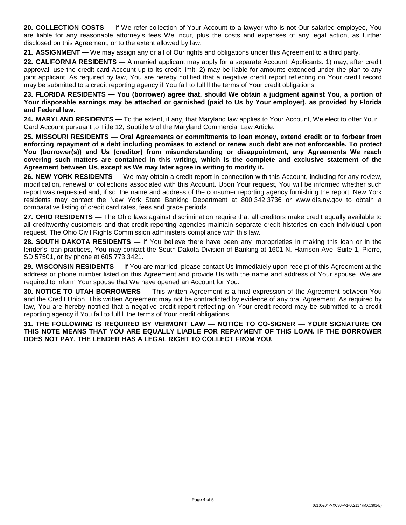**20. COLLECTION COSTS —** If We refer collection of Your Account to a lawyer who is not Our salaried employee, You are liable for any reasonable attorney's fees We incur, plus the costs and expenses of any legal action, as further disclosed on this Agreement, or to the extent allowed by law.

**21. ASSIGNMENT —** We may assign any or all of Our rights and obligations under this Agreement to a third party.

**22. CALIFORNIA RESIDENTS —** A married applicant may apply for a separate Account. Applicants: 1) may, after credit approval, use the credit card Account up to its credit limit; 2) may be liable for amounts extended under the plan to any joint applicant. As required by law, You are hereby notified that a negative credit report reflecting on Your credit record may be submitted to a credit reporting agency if You fail to fulfill the terms of Your credit obligations.

**23. FLORIDA RESIDENTS — You (borrower) agree that, should We obtain a judgment against You, a portion of Your disposable earnings may be attached or garnished (paid to Us by Your employer), as provided by Florida and Federal law.**

**24. MARYLAND RESIDENTS —** To the extent, if any, that Maryland law applies to Your Account, We elect to offer Your Card Account pursuant to Title 12, Subtitle 9 of the Maryland Commercial Law Article.

**25. MISSOURI RESIDENTS — Oral Agreements or commitments to loan money, extend credit or to forbear from enforcing repayment of a debt including promises to extend or renew such debt are not enforceable. To protect You (borrower(s)) and Us (creditor) from misunderstanding or disappointment, any Agreements We reach covering such matters are contained in this writing, which is the complete and exclusive statement of the Agreement between Us, except as We may later agree in writing to modify it.** 

**26. NEW YORK RESIDENTS —** We may obtain a credit report in connection with this Account, including for any review, modification, renewal or collections associated with this Account. Upon Your request, You will be informed whether such report was requested and, if so, the name and address of the consumer reporting agency furnishing the report. New York residents may contact the New York State Banking Department at 800.342.3736 or www.dfs.ny.gov to obtain a comparative listing of credit card rates, fees and grace periods.

**27. OHIO RESIDENTS —** The Ohio laws against discrimination require that all creditors make credit equally available to all creditworthy customers and that credit reporting agencies maintain separate credit histories on each individual upon request. The Ohio Civil Rights Commission administers compliance with this law.

**28. SOUTH DAKOTA RESIDENTS —** If You believe there have been any improprieties in making this loan or in the lender's loan practices, You may contact the South Dakota Division of Banking at 1601 N. Harrison Ave, Suite 1, Pierre, SD 57501, or by phone at 605.773.3421.

**29. WISCONSIN RESIDENTS —** If You are married, please contact Us immediately upon receipt of this Agreement at the address or phone number listed on this Agreement and provide Us with the name and address of Your spouse. We are required to inform Your spouse that We have opened an Account for You.

**30. NOTICE TO UTAH BORROWERS —** This written Agreement is a final expression of the Agreement between You and the Credit Union. This written Agreement may not be contradicted by evidence of any oral Agreement. As required by law, You are hereby notified that a negative credit report reflecting on Your credit record may be submitted to a credit reporting agency if You fail to fulfill the terms of Your credit obligations.

**31. THE FOLLOWING IS REQUIRED BY VERMONT LAW — NOTICE TO CO-SIGNER — YOUR SIGNATURE ON THIS NOTE MEANS THAT YOU ARE EQUALLY LIABLE FOR REPAYMENT OF THIS LOAN. IF THE BORROWER DOES NOT PAY, THE LENDER HAS A LEGAL RIGHT TO COLLECT FROM YOU.**